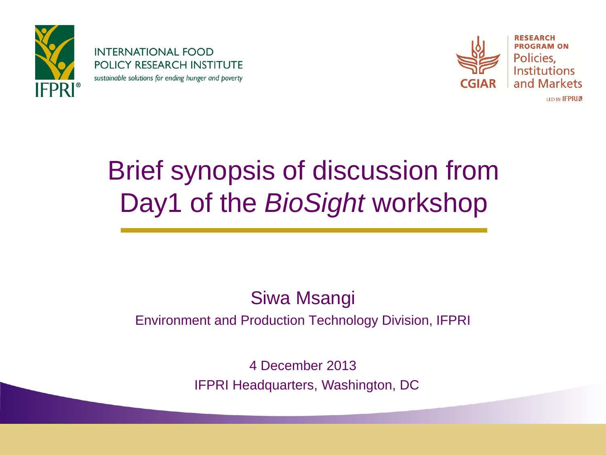

**INTERNATIONAL FOOD POLICY RESEARCH INSTITUTE** sustainable solutions for ending hunger and poverty



**RESEARCH PROGRAM ON** Policies. **Institutions** and Markets **IFD BY IFPRIM** 

# Brief synopsis of discussion from Day1 of the *BioSight* workshop

#### Siwa Msangi Environment and Production Technology Division, IFPRI

4 December 2013 IFPRI Headquarters, Washington, DC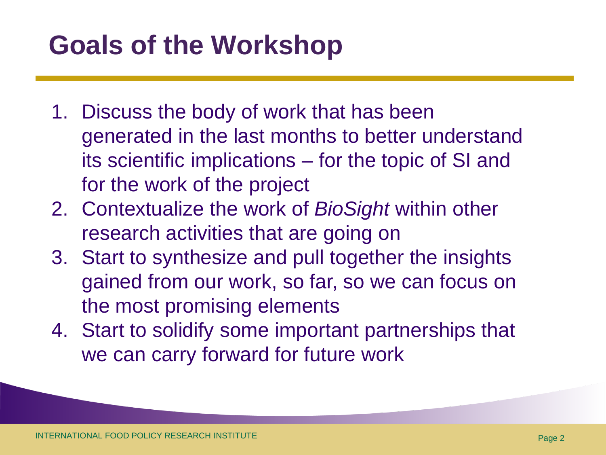# **Goals of the Workshop**

- 1. Discuss the body of work that has been generated in the last months to better understand its scientific implications – for the topic of SI and for the work of the project
- 2. Contextualize the work of *BioSight* within other research activities that are going on
- 3. Start to synthesize and pull together the insights gained from our work, so far, so we can focus on the most promising elements
- 4. Start to solidify some important partnerships that we can carry forward for future work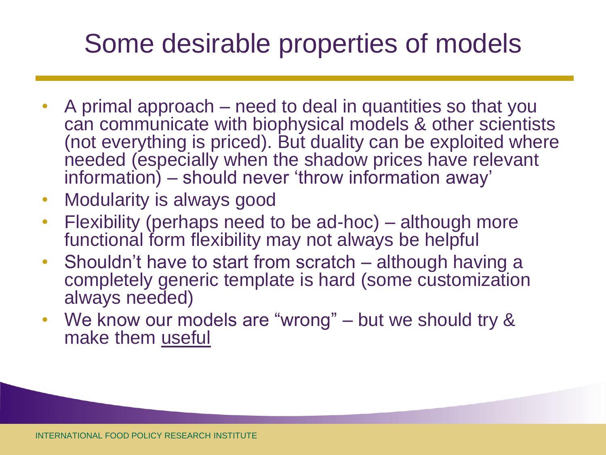# Some desirable properties of models

- A primal approach need to deal in quantities so that you can communicate with biophysical models & other scientists (not everything is priced). But duality can be exploited where needed (especially when the shadow prices have relevant information) – should never 'throw information away'
- Modularity is always good
- Flexibility (perhaps need to be ad-hoc) although more functional form flexibility may not always be helpful
- Shouldn't have to start from scratch although having a completely generic template is hard (some customization always needed)
- We know our models are "wrong" but we should try & make them useful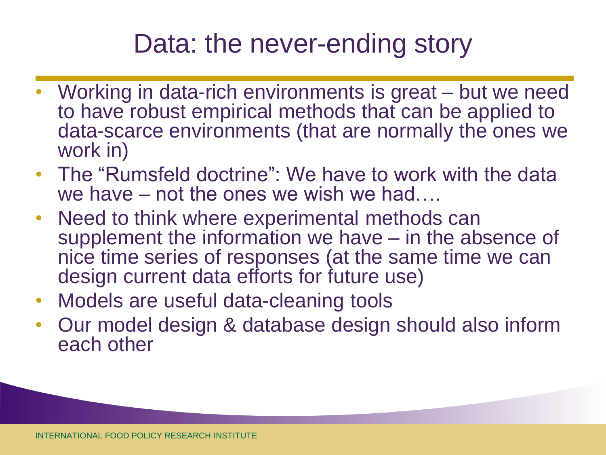### Data: the never-ending story

- Working in data-rich environments is great but we need to have robust empirical methods that can be applied to data-scarce environments (that are normally the ones we work in)
- The "Rumsfeld doctrine": We have to work with the data we have – not the ones we wish we had….
- Need to think where experimental methods can supplement the information we have – in the absence of nice time series of responses (at the same time we can design current data efforts for future use)
- Models are useful data-cleaning tools
- Our model design & database design should also inform each other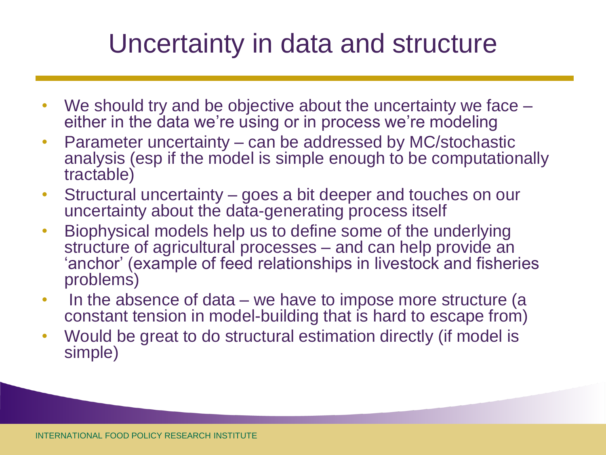#### Uncertainty in data and structure

- We should try and be objective about the uncertainty we face either in the data we're using or in process we're modeling
- Parameter uncertainty can be addressed by MC/stochastic analysis (esp if the model is simple enough to be computationally tractable)
- Structural uncertainty goes a bit deeper and touches on our uncertainty about the data-generating process itself
- Biophysical models help us to define some of the underlying structure of agricultural processes – and can help provide an 'anchor' (example of feed relationships in livestock and fisheries problems)
- In the absence of data we have to impose more structure (a constant tension in model-building that is hard to escape from)
- Would be great to do structural estimation directly (if model is simple)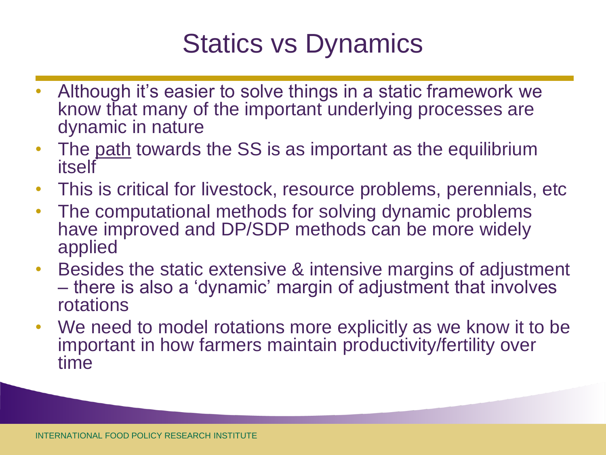### Statics vs Dynamics

- Although it's easier to solve things in a static framework we know that many of the important underlying processes are dynamic in nature
- The path towards the SS is as important as the equilibrium itself
- This is critical for livestock, resource problems, perennials, etc
- The computational methods for solving dynamic problems have improved and DP/SDP methods can be more widely applied
- Besides the static extensive & intensive margins of adjustment – there is also a 'dynamic' margin of adjustment that involves rotations
- We need to model rotations more explicitly as we know it to be important in how farmers maintain productivity/fertility over time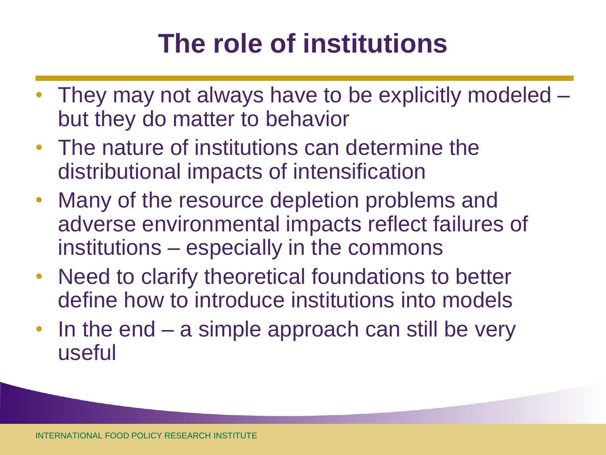# **The role of institutions**

- They may not always have to be explicitly modeled but they do matter to behavior
- The nature of institutions can determine the distributional impacts of intensification
- Many of the resource depletion problems and adverse environmental impacts reflect failures of institutions – especially in the commons
- Need to clarify theoretical foundations to better define how to introduce institutions into models
- In the end a simple approach can still be very useful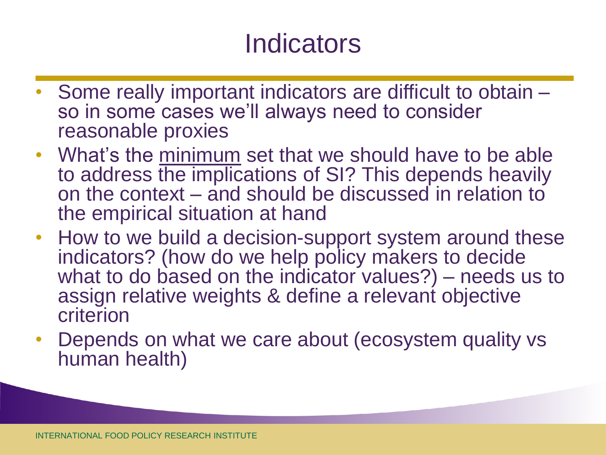#### **Indicators**

- Some really important indicators are difficult to obtain so in some cases we'll always need to consider reasonable proxies
- What's the minimum set that we should have to be able to address the implications of SI? This depends heavily on the context – and should be discussed in relation to the empirical situation at hand
- How to we build a decision-support system around these indicators? (how do we help policy makers to decide what to do based on the indicator values?) – needs us to assign relative weights & define a relevant objective criterion
- Depends on what we care about (ecosystem quality vs human health)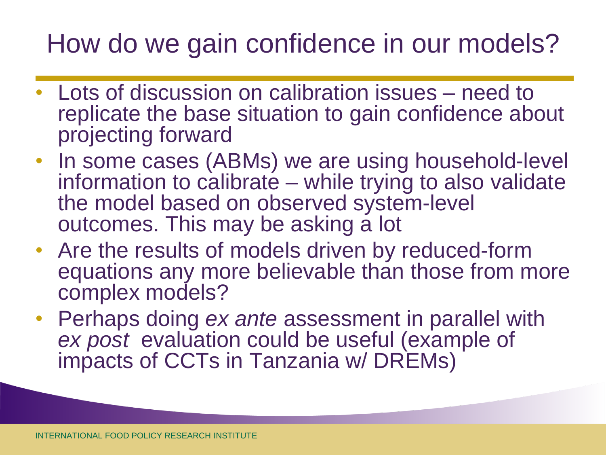### How do we gain confidence in our models?

- Lots of discussion on calibration issues need to replicate the base situation to gain confidence about projecting forward
- In some cases (ABMs) we are using household-level information to calibrate – while trying to also validate the model based on observed system-level outcomes. This may be asking a lot
- Are the results of models driven by reduced-form equations any more believable than those from more complex models?
- Perhaps doing *ex ante* assessment in parallel with *ex post* evaluation could be useful (example of impacts of CCTs in Tanzania w/ DREMs)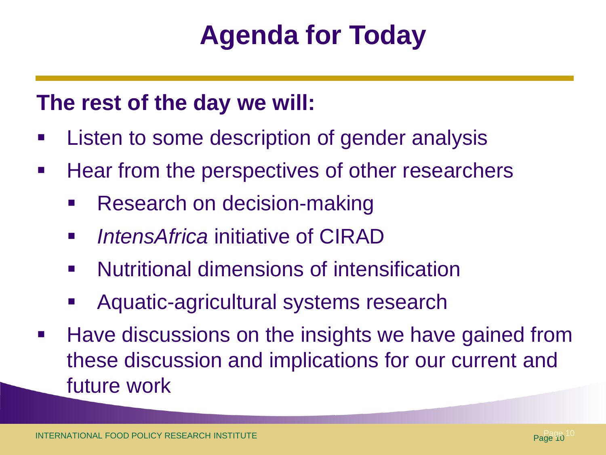# **Agenda for Today**

#### **The rest of the day we will:**

- Listen to some description of gender analysis
- **Hear from the perspectives of other researchers** 
	- Research on decision-making
	- *IntensAfrica* initiative of CIRAD
	- Nutritional dimensions of intensification
	- Aquatic-agricultural systems research
- **Have discussions on the insights we have gained from** these discussion and implications for our current and future work